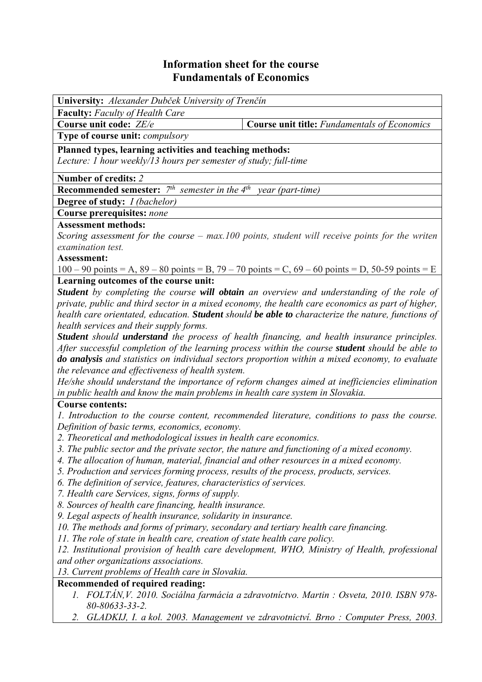## **Information sheet for the course Fundamentals of Economics**

| University: Alexander Dubček University of Trenčín                                            |                                                                                                               |  |  |  |  |  |
|-----------------------------------------------------------------------------------------------|---------------------------------------------------------------------------------------------------------------|--|--|--|--|--|
| <b>Faculty:</b> Faculty of Health Care                                                        |                                                                                                               |  |  |  |  |  |
| Course unit code: ZE/e                                                                        | <b>Course unit title:</b> Fundamentals of Economics                                                           |  |  |  |  |  |
| Type of course unit: compulsory                                                               |                                                                                                               |  |  |  |  |  |
| Planned types, learning activities and teaching methods:                                      |                                                                                                               |  |  |  |  |  |
| Lecture: 1 hour weekly/13 hours per semester of study; full-time                              |                                                                                                               |  |  |  |  |  |
| Number of credits: 2                                                                          |                                                                                                               |  |  |  |  |  |
| <b>Recommended semester:</b> $7th$ semester in the $4th$ year (part-time)                     |                                                                                                               |  |  |  |  |  |
| <b>Degree of study:</b> <i>I (bachelor)</i>                                                   |                                                                                                               |  |  |  |  |  |
| Course prerequisites: none                                                                    |                                                                                                               |  |  |  |  |  |
| <b>Assessment methods:</b>                                                                    |                                                                                                               |  |  |  |  |  |
|                                                                                               | Scoring assessment for the course $-$ max.100 points, student will receive points for the writen              |  |  |  |  |  |
| examination test.                                                                             |                                                                                                               |  |  |  |  |  |
| Assessment:                                                                                   |                                                                                                               |  |  |  |  |  |
|                                                                                               | $100 - 90$ points = A, $89 - 80$ points = B, $79 - 70$ points = C, $69 - 60$ points = D, $50 - 59$ points = E |  |  |  |  |  |
| Learning outcomes of the course unit:                                                         |                                                                                                               |  |  |  |  |  |
|                                                                                               | Student by completing the course will obtain an overview and understanding of the role of                     |  |  |  |  |  |
|                                                                                               | private, public and third sector in a mixed economy, the health care economics as part of higher,             |  |  |  |  |  |
|                                                                                               | health care orientated, education. Student should be able to characterize the nature, functions of            |  |  |  |  |  |
| health services and their supply forms.                                                       |                                                                                                               |  |  |  |  |  |
|                                                                                               | Student should understand the process of health financing, and health insurance principles.                   |  |  |  |  |  |
|                                                                                               | After successful completion of the learning process within the course student should be able to               |  |  |  |  |  |
|                                                                                               | do analysis and statistics on individual sectors proportion within a mixed economy, to evaluate               |  |  |  |  |  |
| the relevance and effectiveness of health system.                                             |                                                                                                               |  |  |  |  |  |
|                                                                                               | He/she should understand the importance of reform changes aimed at inefficiencies elimination                 |  |  |  |  |  |
| in public health and know the main problems in health care system in Slovakia.                |                                                                                                               |  |  |  |  |  |
| <b>Course contents:</b>                                                                       |                                                                                                               |  |  |  |  |  |
|                                                                                               | 1. Introduction to the course content, recommended literature, conditions to pass the course.                 |  |  |  |  |  |
| Definition of basic terms, economics, economy.                                                |                                                                                                               |  |  |  |  |  |
| 2. Theoretical and methodological issues in health care economics.                            |                                                                                                               |  |  |  |  |  |
| 3. The public sector and the private sector, the nature and functioning of a mixed economy.   |                                                                                                               |  |  |  |  |  |
| 4. The allocation of human, material, financial and other resources in a mixed economy.       |                                                                                                               |  |  |  |  |  |
| 5. Production and services forming process, results of the process, products, services.       |                                                                                                               |  |  |  |  |  |
| 6. The definition of service, features, characteristics of services.                          |                                                                                                               |  |  |  |  |  |
| 7. Health care Services, signs, forms of supply.                                              |                                                                                                               |  |  |  |  |  |
| 8. Sources of health care financing, health insurance.                                        |                                                                                                               |  |  |  |  |  |
| 9. Legal aspects of health insurance, solidarity in insurance.                                |                                                                                                               |  |  |  |  |  |
| 10. The methods and forms of primary, secondary and tertiary health care financing.           |                                                                                                               |  |  |  |  |  |
| 11. The role of state in health care, creation of state health care policy.                   |                                                                                                               |  |  |  |  |  |
| 12. Institutional provision of health care development, WHO, Ministry of Health, professional |                                                                                                               |  |  |  |  |  |
| and other organizations associations.                                                         |                                                                                                               |  |  |  |  |  |
| 13. Current problems of Health care in Slovakia.                                              |                                                                                                               |  |  |  |  |  |
| Recommended of required reading:                                                              |                                                                                                               |  |  |  |  |  |
| 1. FOLTÁN, V. 2010. Sociálna farmácia a zdravotníctvo. Martin : Osveta, 2010. ISBN 978-       |                                                                                                               |  |  |  |  |  |
| 80-80633-33-2.                                                                                |                                                                                                               |  |  |  |  |  |
| GLADKIJ, I. a kol. 2003. Management ve zdravotnictví. Brno: Computer Press, 2003.<br>2.       |                                                                                                               |  |  |  |  |  |